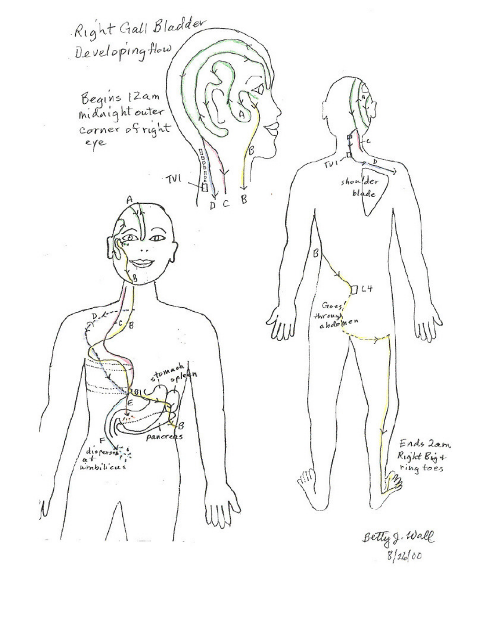Right Gall Bladder Developing How Begins 12am  $\mathsf{A}$ corner of right Donnagh<br>Donnagh  $\widetilde{T}V$  $TVI$ shoulder  $bl$ *ade*  $\frac{4}{p}$ B  $\mathcal{C}$  $\infty$  $\beta$ **R**  $7L4$  $Goes'$  $\overline{p}$ through<br>abdomen W Ш oh tow B pancreas Ends Zam  $\begin{pmatrix} \text{dispersa} \\ \text{at} \\ \text{unbili} \\ \end{pmatrix}$ Right Big + ТÞ 'N Betty J. Wall